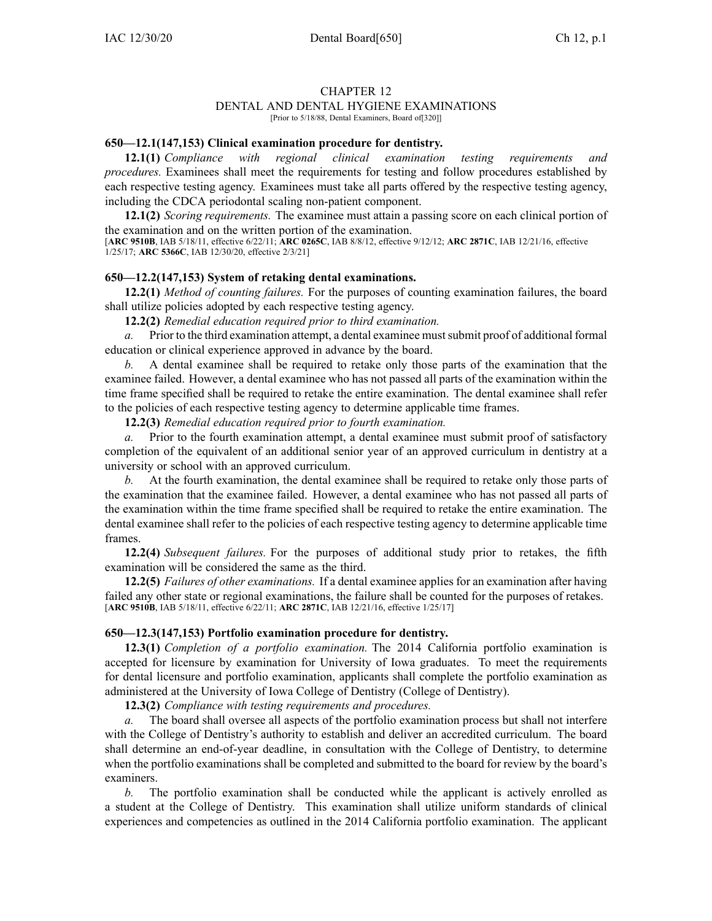## CHAPTER 12

# DENTAL AND DENTAL HYGIENE EXAMINATIONS

[Prior to 5/18/88, Dental Examiners, Board of[320]]

#### **650—12.1(147,153) Clinical examination procedure for dentistry.**

**12.1(1)** *Compliance with regional clinical examination testing requirements and procedures.* Examinees shall meet the requirements for testing and follow procedures established by each respective testing agency. Examinees must take all parts offered by the respective testing agency, including the CDCA periodontal scaling non-patient component.

**12.1(2)** *Scoring requirements.* The examinee must attain <sup>a</sup> passing score on each clinical portion of the examination and on the written portion of the examination.

[**ARC [9510B](https://www.legis.iowa.gov/docs/aco/arc/9510B.pdf)**, IAB 5/18/11, effective 6/22/11; **ARC [0265C](https://www.legis.iowa.gov/docs/aco/arc/0265C.pdf)**, IAB 8/8/12, effective 9/12/12; **ARC [2871C](https://www.legis.iowa.gov/docs/aco/arc/2871C.pdf)**, IAB 12/21/16, effective 1/25/17; **ARC [5366C](https://www.legis.iowa.gov/docs/aco/arc/5366C.pdf)**, IAB 12/30/20, effective 2/3/21]

#### **650—12.2(147,153) System of retaking dental examinations.**

**12.2(1)** *Method of counting failures.* For the purposes of counting examination failures, the board shall utilize policies adopted by each respective testing agency.

**12.2(2)** *Remedial education required prior to third examination.*

*a.* Prior to the third examination attempt, <sup>a</sup> dental examinee mustsubmit proof of additional formal education or clinical experience approved in advance by the board.

*b.* A dental examinee shall be required to retake only those parts of the examination that the examinee failed. However, <sup>a</sup> dental examinee who has not passed all parts of the examination within the time frame specified shall be required to retake the entire examination. The dental examinee shall refer to the policies of each respective testing agency to determine applicable time frames.

**12.2(3)** *Remedial education required prior to fourth examination.*

*a.* Prior to the fourth examination attempt, <sup>a</sup> dental examinee must submit proof of satisfactory completion of the equivalent of an additional senior year of an approved curriculum in dentistry at <sup>a</sup> university or school with an approved curriculum.

*b.* At the fourth examination, the dental examinee shall be required to retake only those parts of the examination that the examinee failed. However, <sup>a</sup> dental examinee who has not passed all parts of the examination within the time frame specified shall be required to retake the entire examination. The dental examinee shall refer to the policies of each respective testing agency to determine applicable time frames.

**12.2(4)** *Subsequent failures.* For the purposes of additional study prior to retakes, the fifth examination will be considered the same as the third.

**12.2(5)** *Failures of other examinations.* If <sup>a</sup> dental examinee applies for an examination after having failed any other state or regional examinations, the failure shall be counted for the purposes of retakes. [**ARC [9510B](https://www.legis.iowa.gov/docs/aco/arc/9510B.pdf)**, IAB 5/18/11, effective 6/22/11; **ARC [2871C](https://www.legis.iowa.gov/docs/aco/arc/2871C.pdf)**, IAB 12/21/16, effective 1/25/17]

### **650—12.3(147,153) Portfolio examination procedure for dentistry.**

**12.3(1)** *Completion of <sup>a</sup> portfolio examination.* The 2014 California portfolio examination is accepted for licensure by examination for University of Iowa graduates. To meet the requirements for dental licensure and portfolio examination, applicants shall complete the portfolio examination as administered at the University of Iowa College of Dentistry (College of Dentistry).

**12.3(2)** *Compliance with testing requirements and procedures.*

*a.* The board shall oversee all aspects of the portfolio examination process but shall not interfere with the College of Dentistry's authority to establish and deliver an accredited curriculum. The board shall determine an end-of-year deadline, in consultation with the College of Dentistry, to determine when the portfolio examinations shall be completed and submitted to the board for review by the board's examiners.

*b.* The portfolio examination shall be conducted while the applicant is actively enrolled as <sup>a</sup> student at the College of Dentistry. This examination shall utilize uniform standards of clinical experiences and competencies as outlined in the 2014 California portfolio examination. The applicant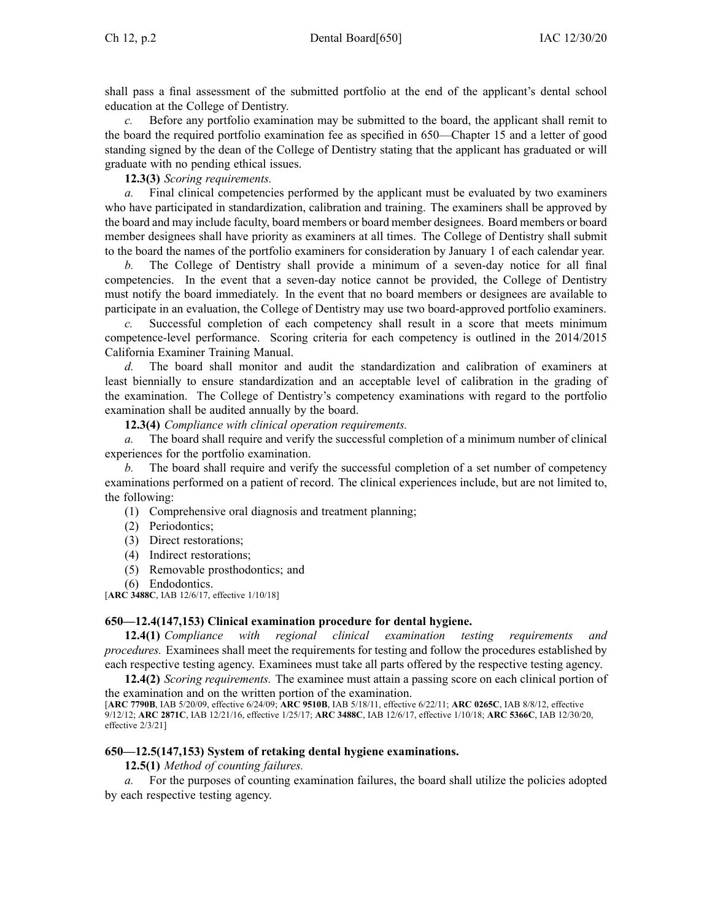shall pass <sup>a</sup> final assessment of the submitted portfolio at the end of the applicant's dental school education at the College of Dentistry.

Before any portfolio examination may be submitted to the board, the applicant shall remit to the board the required portfolio examination fee as specified in 650—Chapter 15 and <sup>a</sup> letter of good standing signed by the dean of the College of Dentistry stating that the applicant has graduated or will graduate with no pending ethical issues.

**12.3(3)** *Scoring requirements.*

*a.* Final clinical competencies performed by the applicant must be evaluated by two examiners who have participated in standardization, calibration and training. The examiners shall be approved by the board and may include faculty, board members or board member designees. Board members or board member designees shall have priority as examiners at all times. The College of Dentistry shall submit to the board the names of the portfolio examiners for consideration by January 1 of each calendar year.

*b.* The College of Dentistry shall provide <sup>a</sup> minimum of <sup>a</sup> seven-day notice for all final competencies. In the event that <sup>a</sup> seven-day notice cannot be provided, the College of Dentistry must notify the board immediately. In the event that no board members or designees are available to participate in an evaluation, the College of Dentistry may use two board-approved portfolio examiners.

*c.* Successful completion of each competency shall result in <sup>a</sup> score that meets minimum competence-level performance. Scoring criteria for each competency is outlined in the 2014/2015 California Examiner Training Manual.

*d.* The board shall monitor and audit the standardization and calibration of examiners at least biennially to ensure standardization and an acceptable level of calibration in the grading of the examination. The College of Dentistry's competency examinations with regard to the portfolio examination shall be audited annually by the board.

**12.3(4)** *Compliance with clinical operation requirements.*

*a.* The board shall require and verify the successful completion of <sup>a</sup> minimum number of clinical experiences for the portfolio examination.

*b.* The board shall require and verify the successful completion of <sup>a</sup> set number of competency examinations performed on <sup>a</sup> patient of record. The clinical experiences include, but are not limited to, the following:

- (1) Comprehensive oral diagnosis and treatment planning;
- (2) Periodontics;
- (3) Direct restorations;
- (4) Indirect restorations;
- (5) Removable prosthodontics; and
- (6) Endodontics.

[**ARC [3488C](https://www.legis.iowa.gov/docs/aco/arc/3488C.pdf)**, IAB 12/6/17, effective 1/10/18]

#### **650—12.4(147,153) Clinical examination procedure for dental hygiene.**

**12.4(1)** *Compliance with regional clinical examination testing requirements procedures.* Examinees shall meet the requirements for testing and follow the procedures established by each respective testing agency. Examinees must take all parts offered by the respective testing agency.

**12.4(2)** *Scoring requirements.* The examinee must attain <sup>a</sup> passing score on each clinical portion of the examination and on the written portion of the examination.

[**ARC [7790B](https://www.legis.iowa.gov/docs/aco/arc/7790B.pdf)**, IAB 5/20/09, effective 6/24/09; **ARC [9510B](https://www.legis.iowa.gov/docs/aco/arc/9510B.pdf)**, IAB 5/18/11, effective 6/22/11; **ARC [0265C](https://www.legis.iowa.gov/docs/aco/arc/0265C.pdf)**, IAB 8/8/12, effective 9/12/12; **ARC [2871C](https://www.legis.iowa.gov/docs/aco/arc/2871C.pdf)**, IAB 12/21/16, effective 1/25/17; **ARC [3488C](https://www.legis.iowa.gov/docs/aco/arc/3488C.pdf)**, IAB 12/6/17, effective 1/10/18; **ARC [5366C](https://www.legis.iowa.gov/docs/aco/arc/5366C.pdf)**, IAB 12/30/20, effective 2/3/21]

#### **650—12.5(147,153) System of retaking dental hygiene examinations.**

**12.5(1)** *Method of counting failures.*

*a.* For the purposes of counting examination failures, the board shall utilize the policies adopted by each respective testing agency.